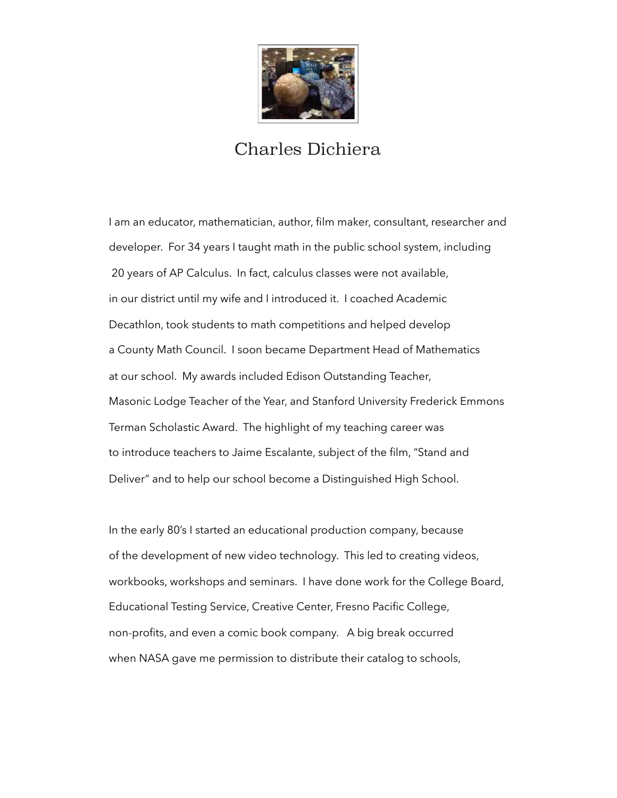

## Charles Dichiera

I am an educator, mathematician, author, film maker, consultant, researcher and developer. For 34 years I taught math in the public school system, including 20 years of AP Calculus. In fact, calculus classes were not available, in our district until my wife and I introduced it. I coached Academic Decathlon, took students to math competitions and helped develop a County Math Council. I soon became Department Head of Mathematics at our school. My awards included Edison Outstanding Teacher, Masonic Lodge Teacher of the Year, and Stanford University Frederick Emmons Terman Scholastic Award. The highlight of my teaching career was to introduce teachers to Jaime Escalante, subject of the film, "Stand and Deliver" and to help our school become a Distinguished High School.

In the early 80's I started an educational production company, because of the development of new video technology. This led to creating videos, workbooks, workshops and seminars. I have done work for the College Board, Educational Testing Service, Creative Center, Fresno Pacific College, non-profits, and even a comic book company. A big break occurred when NASA gave me permission to distribute their catalog to schools,